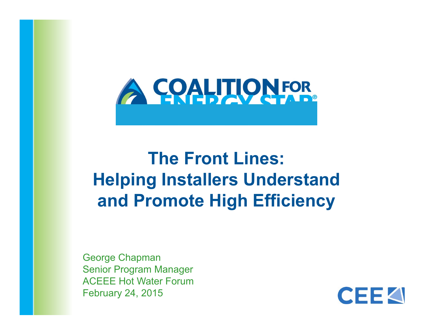

### **The Front Lines: Helping Installers Understand and Promote High Efficiency**

George Chapman Senior Program Manager ACEEE Hot Water ForumFebruary 24, 2015

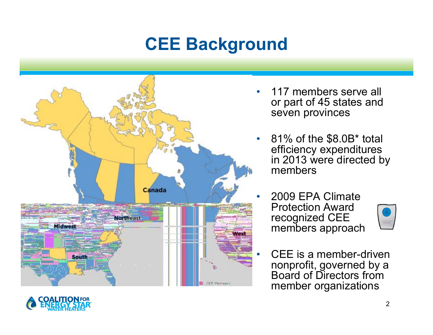# **CEE Background**



- 117 members serve all or part of 45 states and seven provinces
- • 81% of the \$8.0B\* total efficiency expenditures in 2013 were directed by members
- • 2009 EPA Climate Protection Award recognized CEE members approach



 $\mathfrak{p}$ 

 CEE is a member-driven nonprofit, governed by a Board of Directors from member organizations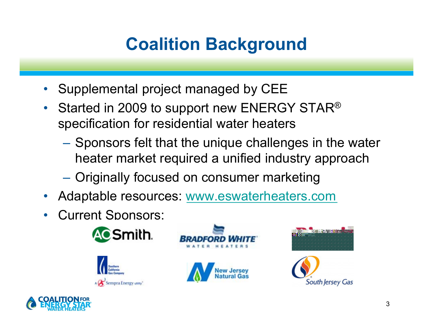# **Coalition Background**

- •Supplemental project managed by CEE
- Started in 2009 to support new ENERGY STAR<sup>®</sup> specification for residential water heaters
	- Sponsors felt that the unique challenges in the water heater market required a unified industry approach
	- –Originally focused on consumer marketing
- $\bullet$ Adaptable resources: www.eswaterheaters.com
- $\bullet$ Current Sponsors:









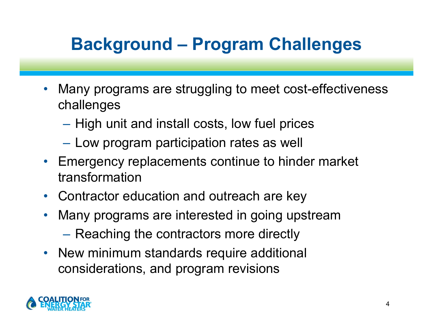# **Background – Program Challenges**

- • Many programs are struggling to meet cost-effectiveness challenges
	- $-$  High unit and install costs, low fuel prices
	- $-$  Low program participation rates as well
- Emergency replacements continue to hinder market transformation
- Contractor education and outreach are key
- $\bullet$  Many programs are interested in going upstream
	- Reaching the contractors more directly
- New minimum standards require additional considerations, and program revisions

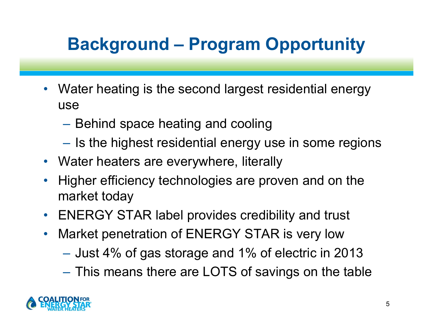# **Background – Program Opportunity**

- $\bullet$  Water heating is the second largest residential energy use
	- $-$  Behind space heating and cooling
	- $-$  Is the highest residential energy use in some regions
- Water heaters are everywhere, literally
- $\bullet$  Higher efficiency technologies are proven and on the market today
- ENERGY STAR label provides credibility and trust
- $\bullet$  Market penetration of ENERGY STAR is very low
	- $-$  Just 4% of gas storage and 1% of electric in 2013  $\,$
	- This means there are LOTS of savings on the table

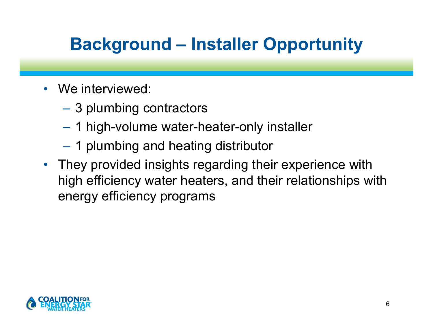# **Background – Installer Opportunity**

- We interviewed:
	- –3 plumbing contractors
	- 1 high-volume water-heater-only installer
	- 1 plumbing and heating distributor
- They provided insights regarding their experience with high efficiency water heaters, and their relationships with energy efficiency programs

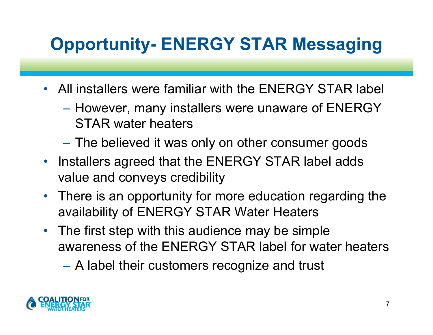# **Opportunity- ENERGY STAR Messaging**

- All installers were familiar with the ENERGY STAR label
	- – $-$  However, many installers were unaware of  $\sf{ENERGY}$ STAR water heaters
	- The believed it was only on other consumer goods
- Installers agreed that the ENERGY STAR label adds value and conveys credibility
- There is an opportunity for more education regarding the availability of ENERGY STAR Water Heaters
- • The first step with this audience may be simple awareness of the ENERGY STAR label for water heaters
	- –A label their customers recognize and trust

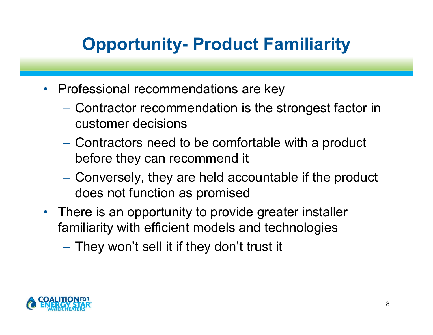# **Opportunity- Product Familiarity**

- Professional recommendations are key
	- – Contractor recommendation is the strongest factor in customer decisions
	- Contractors need to be comfortable with a product before they can recommend it
	- – Conversely, they are held accountable if the product does not function as promised
- There is an opportunity to provide greater installer familiarity with efficient models and technologies
	- – $-$  They won't sell it if they don't trust it

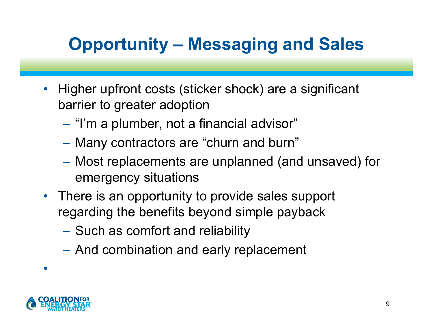# **Opportunity – Messaging and Sales**

- $\bullet$  Higher upfront costs (sticker shock) are a significant barrier to greater adoption
	- "I'm a plumber, not a financial advisor"
	- Many contractors are "churn and burn"
	- Most replacements are unplanned (and unsaved) for emergency situations
- There is an opportunity to provide sales support regarding the benefits beyond simple payback
	- Such as comfort and reliability
	- And combination and early replacement



•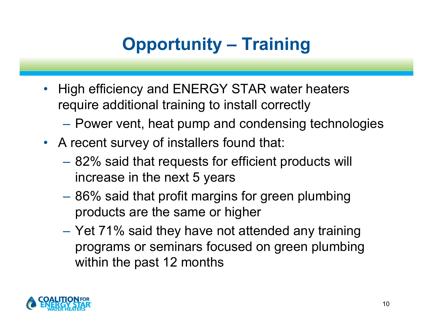# **Opportunity – Training**

- $\bullet$  High efficiency and ENERGY STAR water heaters require additional training to install correctly
	- Power vent, heat pump and condensing technologies
- A recent survey of installers found that:
	- 82% said that requests for efficient products will increase in the next 5 years
	- 86% said that profit margins for green plumbing products are the same or higher
	- Yet 71% said they have not attended any training programs or seminars focused on green plumbing within the past 12 months

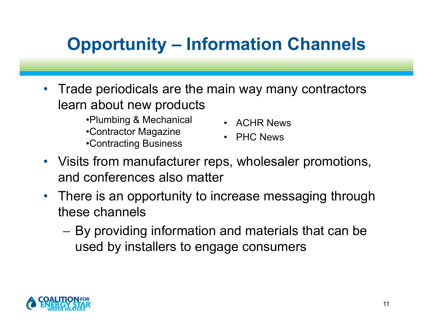# **Opportunity – Information Channels**

- $\bullet$  Trade periodicals are the main way many contractors learn about new products
	- •Plumbing & Mechanical
	- •Contractor Magazine
	- •Contracting Business
- ACHR News
- PHC News
- Visits from manufacturer reps, wholesaler promotions, and conferences also matter
- • There is an opportunity to increase messaging through these channels
	- By providing information and materials that can be used by installers to engage consumers

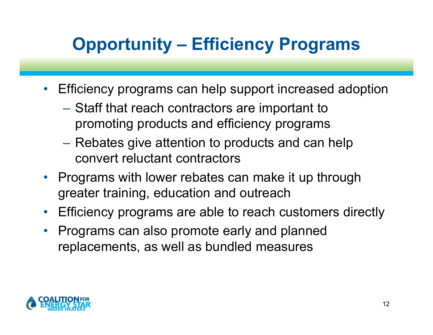# **Opportunity – Efficiency Programs**

- $\bullet$  Efficiency programs can help support increased adoption
	- –– Staff that reach contractors are important to promoting products and efficiency programs
	- Rebates give attention to products and can help convert reluctant contractors
- Programs with lower rebates can make it up through greater training, education and outreach
- $\bullet$ Efficiency programs are able to reach customers directly
- $\bullet$  Programs can also promote early and planned replacements, as well as bundled measures

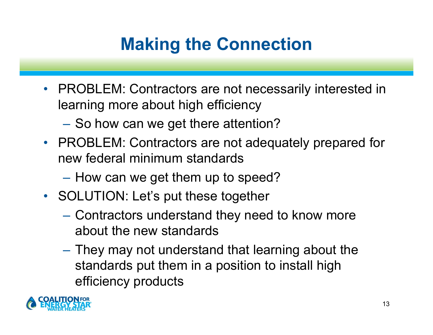# **Making the Connection**

- $\bullet$  PROBLEM: Contractors are not necessarily interested in learning more about high efficiency
	- $-$  So how can we get there attention?
- PROBLEM: Contractors are not adequately prepared for new federal minimum standards
	- – $-$  How can we get them up to speed?
- SOLUTION: Let's put these together
	- Contractors understand they need to know more about the new standards
	- $-$  They may not understand that learning about the  $\,$ standards put them in a position to install high efficiency products

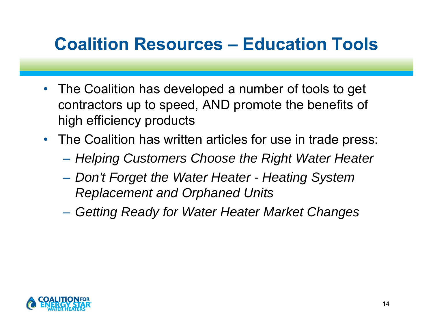### **Coalition Resources – Education Tools**

- • The Coalition has developed a number of tools to get contractors up to speed, AND promote the benefits of high efficiency products
- The Coalition has written articles for use in trade press:
	- –*Helping Customers Choose the Right Water Heater*
	- – *Don't Forget the Water Heater - Heating System Replacement and Orphaned Units*
	- *Getting Ready for Water Heater Market Changes*

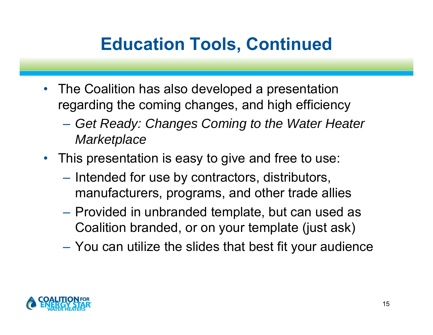# **Education Tools, Continued**

- $\bullet$  The Coalition has also developed a presentation regarding the coming changes, and high efficiency
	- *Get Ready: Changes Coming to the Water Heater Marketplace*
- This presentation is easy to give and free to use:
	- –- Intended for use by contractors, distributors, manufacturers, programs, and other trade allies
	- Provided in unbranded template, but can used as Coalition branded, or on your template (just ask)
	- –You can utilize the slides that best fit your audience

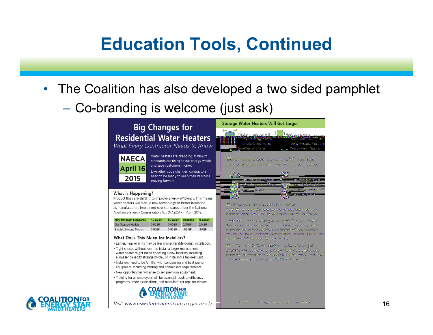#### **Education Tools, Continued**

- $\bullet$  The Coalition has also developed a two sided pamphlet
	- –Co-branding is welcome (just ask)

#### **Big Changes for Residential Water Heaters**

What Every Contractor Needs to Know



#### Water heaters are changing. Minimum standards are rising to cut energy waste and save customers money.

Like other code changes, contractors need to be ready to keep their business moving forward.

#### What is Happening?

Product lines are shifting to improve energy efficiency. This means water heaters will feature new technology or better insulation as manufacturers implement new standards under the National Appliance Energy Conservation Act (NAECA) in April 2015.

| <b>New Minimum Standards</b>   | 40 gallon | 50 gallon | 60 gallon | 75 gallon |
|--------------------------------|-----------|-----------|-----------|-----------|
| <b>Gas Storage Models</b>      | 0.62EF    | 0.60 FF   | 0.75 EF   | 0.74 EF   |
| <b>Electric Storage Models</b> | 0.95FF    | 0.95 FF   | 1.99 EF   | 1.97 FF   |

#### What Does This Mean for Installers?

- Larger, heavier units may be less maneuverable during installation.
- Tight spaces without room to install a larger replacement water heater might mean choosing a new location, installing a smaller capacity storage model, or installing a tankless unit.
- . Installers need to be familiar with condensing and heat pump equipment, including venting and condensate requirements.
- . New opportunities will arise to sell premium equipment.
- Training for all employees will be essential. Look to efficiency programs, trade associations, and manufacturer reps for classes.



Visit www.eswaterheaters.com to get ready



Wingst Alberta Termiz assoc Wistons - applicance Yasi: Insianianeous water healers on the market already meet new energy efficiency standards, Rew existing products will be affected.

From Williamson Changes Tringers Wy Sudiness? .<br>New trade's often mean higher-margin installations and long-fram. energy savings for your ouskerners, Confiracions will need to explain product distriges to quaterners. Heat pointes and dandersing equipmen ugan fawar D'Y insial aftens by homepwirens.

WELL ENERGY STARED Walter Heatland Channels? ENERGY STARP coatings water heaters will continue to other superfor energy savings and reliability. Gas, electric, and splan models must meet sinti performanse origina in sam ENERGY \$7ARP repognition.

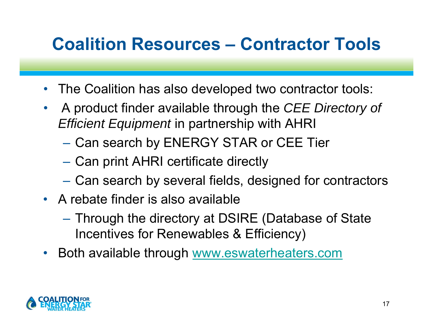### **Coalition Resources – Contractor Tools**

- $\bullet$ The Coalition has also developed two contractor tools:
- $\bullet$  A product finder available through the *CEE Directory of Efficient Equipment* in partnership with AHRI
	- Can search by ENERGY STAR or CEE Tier
	- Can print AHRI certificate directly
	- Can search by several fields, designed for contractors
- A rebate finder is also available
	- – Through the directory at DSIRE (Database of State Incentives for Renewables & Efficiency)
- Both available through www.eswaterheaters.com

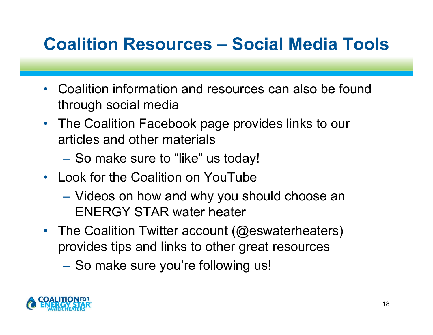## **Coalition Resources – Social Media Tools**

- $\bullet$  Coalition information and resources can also be found through social media
- The Coalition Facebook page provides links to our articles and other materials
	- –– So make sure to "like" us today!
- Look for the Coalition on YouTube
	- Videos on how and why you should choose an ENERGY STAR water heater
- The Coalition Twitter account (@eswaterheaters) provides tips and links to other great resources
	- –– So make sure you're following us!

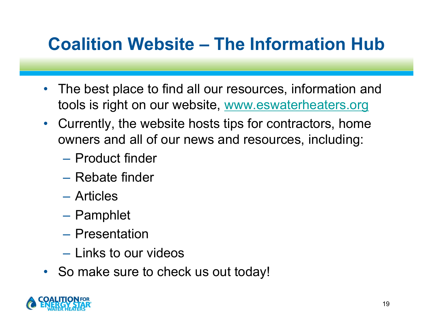### **Coalition Website – The Information Hub**

- $\bullet$  The best place to find all our resources, information and tools is right on our website, www.eswaterheaters.org
- $\bullet$  Currently, the website hosts tips for contractors, home owners and all of our news and resources, including:
	- Product finder
	- Rebate finder
	- Articles
	- Pamphlet
	- Presentation
	- Links to our videos
- So make sure to check us out today!

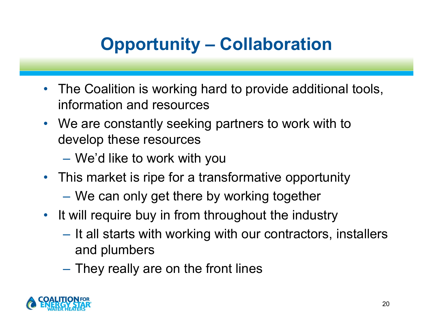# **Opportunity – Collaboration**

- $\bullet$  The Coalition is working hard to provide additional tools, information and resources
- We are constantly seeking partners to work with to develop these resources
	- –We'd like to work with you
- This market is ripe for a transformative opportunity
	- We can only get there by working together
- It will require buy in from throughout the industry
	- $-$  It all starts with working with our contractors, installers and plumbers
	- $\mathcal{L}_{\mathcal{A}}$  $-$  They really are on the front lines